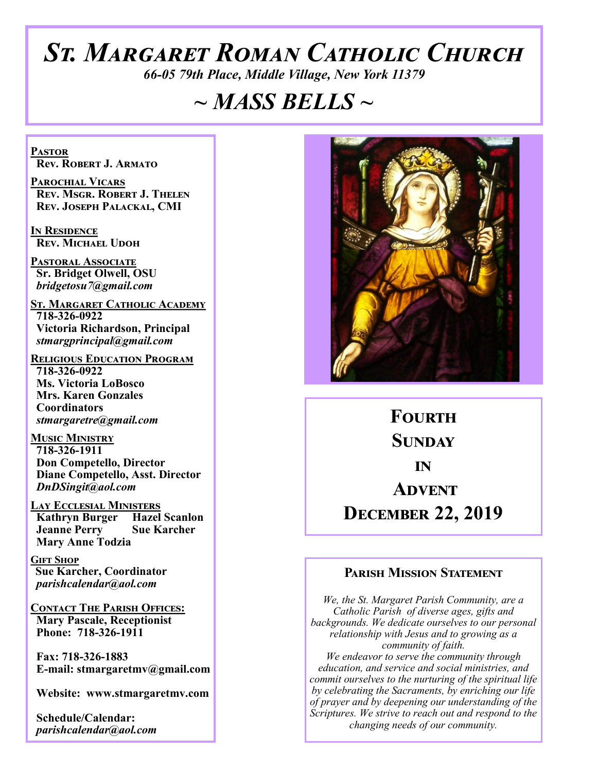# *St. Margaret Roman Catholic Church*

*66-05 79th Place, Middle Village, New York 11379*

## *~ MASS BELLS ~*

**Pastor Rev. Robert J. Armato**

**Parochial Vicars Rev. Msgr. Robert J. Thelen Rev. Joseph Palackal, CMI**

**In Residence Rev. Michael Udoh**

**Pastoral Associate Sr. Bridget Olwell, OSU**  *bridgetosu7@gmail.com*

**St. Margaret Catholic Academy 718-326-0922 Victoria Richardson, Principal**  *stmargprincipal@gmail.com*

**Religious Education Program 718-326-0922 Ms. Victoria LoBosco Mrs. Karen Gonzales Coordinators** *stmargaretre@gmail.com*

**Music Ministry 718-326-1911 Don Competello, Director Diane Competello, Asst. Director** *DnDSingit@aol.com*

**Lay Ecclesial Ministers Kathryn Burger Hazel Scanlon Jeanne Perry Sue Karcher Mary Anne Todzia**

**Gift Shop Sue Karcher, Coordinator** *parishcalendar@aol.com*

**Contact The Parish Offices: Mary Pascale, Receptionist Phone: 718-326-1911** 

 **Fax: 718-326-1883 E-mail: stmargaretmv@gmail.com**

 **Website: www.stmargaretmv.com**

 **Schedule/Calendar:** *parishcalendar@aol.com* 



**Fourth Sunday in Advent December 22, 2019** 

#### **Parish Mission Statement**

*We, the St. Margaret Parish Community, are a Catholic Parish of diverse ages, gifts and backgrounds. We dedicate ourselves to our personal relationship with Jesus and to growing as a community of faith. We endeavor to serve the community through education, and service and social ministries, and commit ourselves to the nurturing of the spiritual life by celebrating the Sacraments, by enriching our life of prayer and by deepening our understanding of the Scriptures. We strive to reach out and respond to the changing needs of our community.*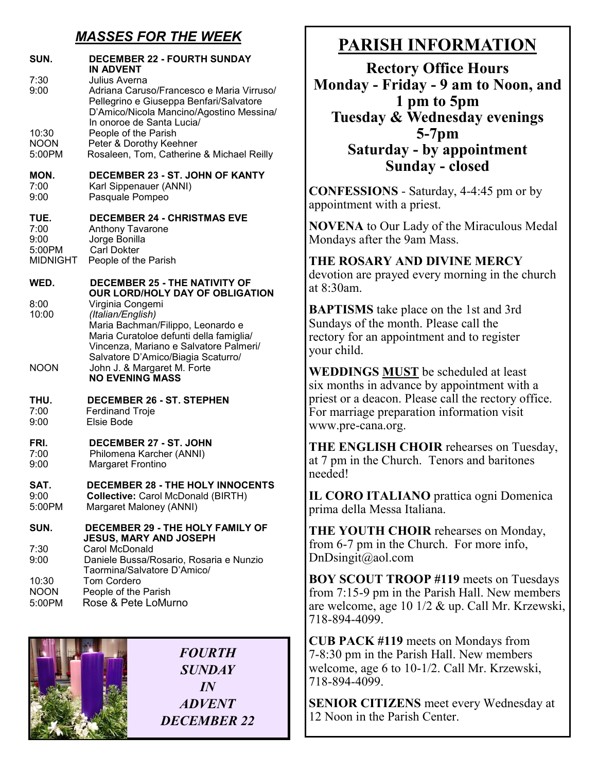## *MASSES FOR THE WEEK*

| SUN.                                              | <b>DECEMBER 22 - FOURTH SUNDAY</b><br><b>IN ADVENT</b>                                                                                                                                                |
|---------------------------------------------------|-------------------------------------------------------------------------------------------------------------------------------------------------------------------------------------------------------|
| 7:30<br>9:00                                      | Julius Averna<br>Adriana Caruso/Francesco e Maria Virruso/<br>Pellegrino e Giuseppa Benfari/Salvatore<br>D'Amico/Nicola Mancino/Agostino Messina/<br>In onoroe de Santa Lucia/                        |
| 10:30<br><b>NOON</b><br>5:00PM                    | People of the Parish<br>Peter & Dorothy Keehner<br>Rosaleen, Tom, Catherine & Michael Reilly                                                                                                          |
| MON.<br>7:00<br>9:00                              | DECEMBER 23 - ST. JOHN OF KANTY<br>Karl Sippenauer (ANNI)<br>Pasquale Pompeo                                                                                                                          |
| TUE.<br>7:00<br>9:00<br>5:00PM<br><b>MIDNIGHT</b> | <b>DECEMBER 24 - CHRISTMAS EVE</b><br>Anthony Tavarone<br>Jorge Bonilla<br><b>Carl Dokter</b><br>People of the Parish                                                                                 |
| WED.                                              | <b>DECEMBER 25 - THE NATIVITY OF</b><br>OUR LORD/HOLY DAY OF OBLIGATION                                                                                                                               |
| 8:00<br>10:00                                     | Virginia Congemi<br>(Italian/English)<br>Maria Bachman/Filippo, Leonardo e<br>Maria Curatoloe defunti della famiglia/<br>Vincenza, Mariano e Salvatore Palmeri/<br>Salvatore D'Amico/Biagia Scaturro/ |
| <b>NOON</b>                                       | John J. & Margaret M. Forte<br><b>NO EVENING MASS</b>                                                                                                                                                 |
| THU.<br>7:00<br>9:00                              | <b>DECEMBER 26 - ST. STEPHEN</b><br><b>Ferdinand Troje</b><br>Elsie Bode                                                                                                                              |
| FRI.<br>7:00<br>9:00                              | DECEMBER 27 - ST. JOHN<br>Philomena Karcher (ANNI)<br><b>Margaret Frontino</b>                                                                                                                        |
| SAT.<br>9:00<br>5:00PM                            | DECEMBER 28 - THE HOLY INNOCENTS<br><b>Collective: Carol McDonald (BIRTH)</b><br>Margaret Maloney (ANNI)                                                                                              |
| SUN.                                              | <b>DECEMBER 29 - THE HOLY FAMILY OF</b><br><b>JESUS, MARY AND JOSEPH</b>                                                                                                                              |
| 7:30<br>9:00                                      | Carol McDonald<br>Daniele Bussa/Rosario, Rosaria e Nunzio<br>Taormina/Salvatore D'Amico/                                                                                                              |
| 10:30<br><b>NOON</b><br>5:00PM                    | Tom Cordero<br>People of the Parish<br>Rose & Pete LoMurno                                                                                                                                            |
|                                                   |                                                                                                                                                                                                       |



## **PARISH INFORMATION**

**Rectory Office Hours Monday - Friday - 9 am to Noon, and 1 pm to 5pm Tuesday & Wednesday evenings 5-7pm Saturday - by appointment Sunday - closed**

**CONFESSIONS** - Saturday, 4-4:45 pm or by appointment with a priest.

**NOVENA** to Our Lady of the Miraculous Medal Mondays after the 9am Mass.

#### **THE ROSARY AND DIVINE MERCY**

devotion are prayed every morning in the church at 8:30am.

**BAPTISMS** take place on the 1st and 3rd Sundays of the month. Please call the rectory for an appointment and to register your child.

**WEDDINGS MUST** be scheduled at least six months in advance by appointment with a priest or a deacon. Please call the rectory office. For marriage preparation information visit www.pre-cana.org.

**THE ENGLISH CHOIR** rehearses on Tuesday, at 7 pm in the Church. Tenors and baritones needed!

**IL CORO ITALIANO** prattica ogni Domenica prima della Messa Italiana.

**THE YOUTH CHOIR** rehearses on Monday, from 6-7 pm in the Church. For more info, DnDsingit@aol.com

**BOY SCOUT TROOP #119** meets on Tuesdays from 7:15-9 pm in the Parish Hall. New members are welcome, age 10 1/2 & up. Call Mr. Krzewski, 718-894-4099.

**CUB PACK #119** meets on Mondays from 7-8:30 pm in the Parish Hall. New members welcome, age 6 to 10-1/2. Call Mr. Krzewski, 718-894-4099.

**SENIOR CITIZENS** meet every Wednesday at 12 Noon in the Parish Center.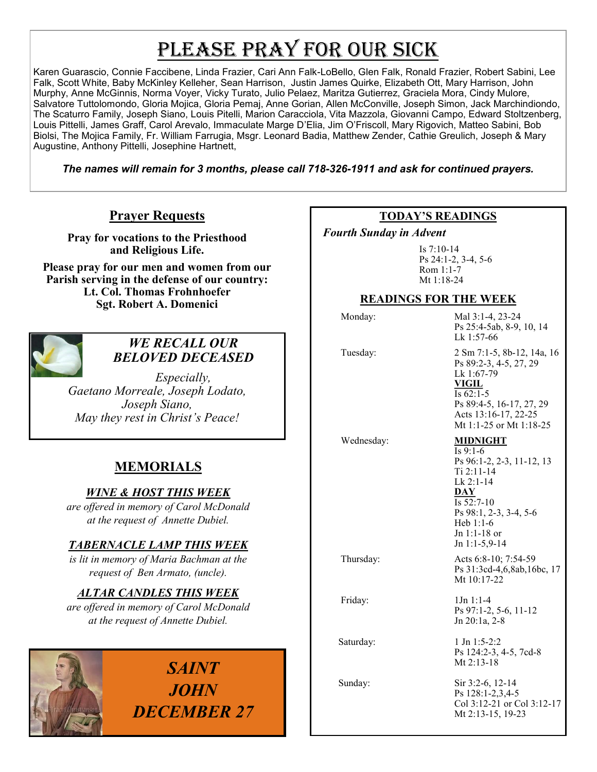# PLEASE PRAY FOR OUR SICK

Karen Guarascio, Connie Faccibene, Linda Frazier, Cari Ann Falk-LoBello, Glen Falk, Ronald Frazier, Robert Sabini, Lee Falk, Scott White, Baby McKinley Kelleher, Sean Harrison, Justin James Quirke, Elizabeth Ott, Mary Harrison, John Murphy, Anne McGinnis, Norma Voyer, Vicky Turato, Julio Pelaez, Maritza Gutierrez, Graciela Mora, Cindy Mulore, Salvatore Tuttolomondo, Gloria Mojica, Gloria Pemaj, Anne Gorian, Allen McConville, Joseph Simon, Jack Marchindiondo, The Scaturro Family, Joseph Siano, Louis Pitelli, Marion Caracciola, Vita Mazzola, Giovanni Campo, Edward Stoltzenberg, Louis Pittelli, James Graff, Carol Arevalo, Immaculate Marge D'Elia, Jim O'Friscoll, Mary Rigovich, Matteo Sabini, Bob Biolsi, The Mojica Family, Fr. William Farrugia, Msgr. Leonard Badia, Matthew Zender, Cathie Greulich, Joseph & Mary Augustine, Anthony Pittelli, Josephine Hartnett,

*The names will remain for 3 months, please call 718-326-1911 and ask for continued prayers.*

#### **Prayer Requests**

**Pray for vocations to the Priesthood and Religious Life.** 

**Please pray for our men and women from our Parish serving in the defense of our country: Lt. Col. Thomas Frohnhoefer Sgt. Robert A. Domenici** 



#### *WE RECALL OUR BELOVED DECEASED*

*Especially, Gaetano Morreale, Joseph Lodato, Joseph Siano, May they rest in Christ's Peace!*

## **MEMORIALS**

#### *WINE & HOST THIS WEEK*

*are offered in memory of Carol McDonald at the request of Annette Dubiel.* 

#### *TABERNACLE LAMP THIS WEEK*

*is lit in memory of Maria Bachman at the request of Ben Armato, (uncle).*

#### *ALTAR CANDLES THIS WEEK*

*are offered in memory of Carol McDonald at the request of Annette Dubiel.*



#### **TODAY'S READINGS**

 *Fourth Sunday in Advent* 

Is 7:10-14 Ps 24:1-2, 3-4, 5-6 Rom 1:1-7 Mt 1:18-24

#### **READINGS FOR THE WEEK**

Monday: Mal 3:1-4, 23-24

 Tuesday: 2 Sm 7:1-5, 8b-12, 14a, 16 Ps 89:2-3, 4-5, 27, 29 Lk 1:67-79 **VIGIL** Is 62:1-5 Ps 89:4-5, 16-17, 27, 29 Acts 13:16-17, 22-25 Mt 1:1-25 or Mt 1:18-25

Ps 25:4-5ab, 8-9, 10, 14

Lk 1:57-66

#### Wednesday: **MIDNIGHT**

 $\overline{Is\ 9:1-6}$ Ps 96:1-2, 2-3, 11-12, 13 Ti 2:11-14 Lk 2:1-14 **DAY** Is 52:7-10 Ps 98:1, 2-3, 3-4, 5-6 Heb 1:1-6 Jn 1:1-18 or Jn 1:1-5,9-14

 Thursday: Acts 6:8-10; 7:54-59 Ps 31:3cd-4,6,8ab,16bc, 17 Mt 10:17-22

 Friday: 1Jn 1:1-4 Ps 97:1-2, 5-6, 11-12 Jn 20:1a, 2-8

Saturday: 1 Jn 1:5-2:2 Ps 124:2-3, 4-5, 7cd-8 Mt 2:13-18

Sunday: Sir 3:2-6, 12-14 Ps 128:1-2,3,4-5 Col 3:12-21 or Col 3:12-17 Mt 2:13-15, 19-23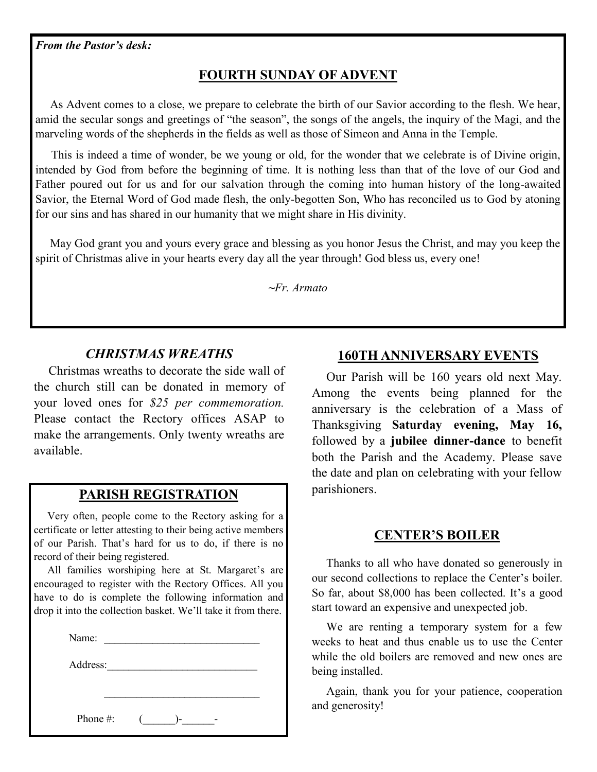#### **FOURTH SUNDAY OF ADVENT**

 As Advent comes to a close, we prepare to celebrate the birth of our Savior according to the flesh. We hear, amid the secular songs and greetings of "the season", the songs of the angels, the inquiry of the Magi, and the marveling words of the shepherds in the fields as well as those of Simeon and Anna in the Temple.

 This is indeed a time of wonder, be we young or old, for the wonder that we celebrate is of Divine origin, intended by God from before the beginning of time. It is nothing less than that of the love of our God and Father poured out for us and for our salvation through the coming into human history of the long-awaited Savior, the Eternal Word of God made flesh, the only-begotten Son, Who has reconciled us to God by atoning for our sins and has shared in our humanity that we might share in His divinity.

 May God grant you and yours every grace and blessing as you honor Jesus the Christ, and may you keep the spirit of Christmas alive in your hearts every day all the year through! God bless us, every one!

**~***Fr. Armato*

#### *CHRISTMAS WREATHS*

 Christmas wreaths to decorate the side wall of the church still can be donated in memory of your loved ones for *\$25 per commemoration.*  Please contact the Rectory offices ASAP to make the arrangements. Only twenty wreaths are available.

#### **PARISH REGISTRATION**

 Very often, people come to the Rectory asking for a certificate or letter attesting to their being active members of our Parish. That's hard for us to do, if there is no record of their being registered.

 All families worshiping here at St. Margaret's are encouraged to register with the Rectory Offices. All you have to do is complete the following information and drop it into the collection basket. We'll take it from there.

| Name:    |                    |  |
|----------|--------------------|--|
| Address: |                    |  |
|          |                    |  |
| Phone #: | $\mathbf{C}$<br>)- |  |

#### **160TH ANNIVERSARY EVENTS**

 Our Parish will be 160 years old next May. Among the events being planned for the anniversary is the celebration of a Mass of Thanksgiving **Saturday evening, May 16,**  followed by a **jubilee dinner-dance** to benefit both the Parish and the Academy. Please save the date and plan on celebrating with your fellow parishioners.

#### **CENTER'S BOILER**

 Thanks to all who have donated so generously in our second collections to replace the Center's boiler. So far, about \$8,000 has been collected. It's a good start toward an expensive and unexpected job.

 We are renting a temporary system for a few weeks to heat and thus enable us to use the Center while the old boilers are removed and new ones are being installed.

 Again, thank you for your patience, cooperation and generosity!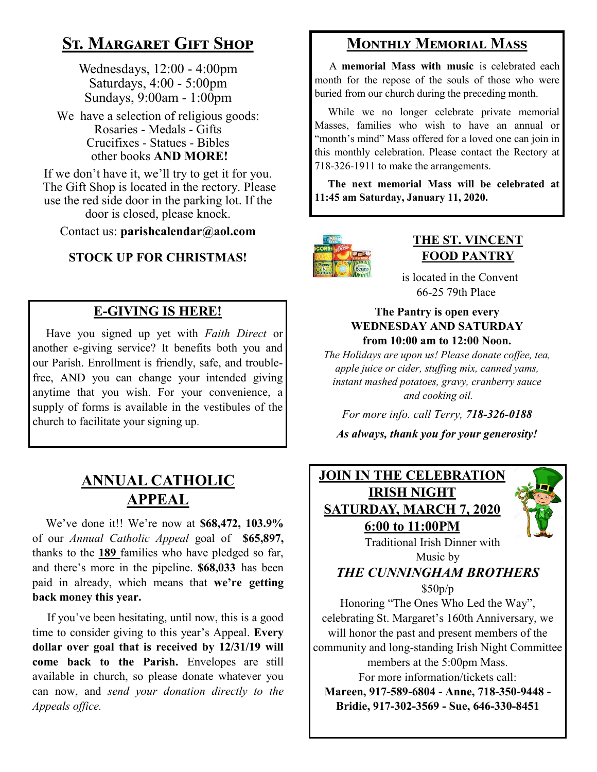## **St. Margaret Gift Shop**

Wednesdays, 12:00 - 4:00pm Saturdays, 4:00 - 5:00pm Sundays, 9:00am - 1:00pm

We have a selection of religious goods: Rosaries - Medals - Gifts Crucifixes - Statues - Bibles other books **AND MORE!**

If we don't have it, we'll try to get it for you. The Gift Shop is located in the rectory. Please use the red side door in the parking lot. If the door is closed, please knock.

Contact us: **parishcalendar@aol.com**

#### **STOCK UP FOR CHRISTMAS!**

## **E-GIVING IS HERE!**

 Have you signed up yet with *Faith Direct* or another e-giving service? It benefits both you and our Parish. Enrollment is friendly, safe, and troublefree, AND you can change your intended giving anytime that you wish. For your convenience, a supply of forms is available in the vestibules of the church to facilitate your signing up.

## **ANNUAL CATHOLIC APPEAL**

 We've done it!! We're now at **\$68,472, 103.9%**  of our *Annual Catholic Appeal* goal of **\$65,897,**  thanks to the **189** families who have pledged so far, and there's more in the pipeline. **\$68,033** has been paid in already, which means that **we're getting back money this year.**

 If you've been hesitating, until now, this is a good time to consider giving to this year's Appeal. **Every dollar over goal that is received by 12/31/19 will come back to the Parish.** Envelopes are still available in church, so please donate whatever you can now, and *send your donation directly to the Appeals office.* 

## **Monthly Memorial Mass**

 A **memorial Mass with music** is celebrated each month for the repose of the souls of those who were buried from our church during the preceding month.

 While we no longer celebrate private memorial Masses, families who wish to have an annual or "month's mind" Mass offered for a loved one can join in this monthly celebration. Please contact the Rectory at 718-326-1911 to make the arrangements.

 **The next memorial Mass will be celebrated at 11:45 am Saturday, January 11, 2020.** 



#### **THE ST. VINCENT FOOD PANTRY**

 is located in the Convent 66-25 79th Place

#### **The Pantry is open every WEDNESDAY AND SATURDAY from 10:00 am to 12:00 Noon.**

*The Holidays are upon us! Please donate coffee, tea, apple juice or cider, stuffing mix, canned yams, instant mashed potatoes, gravy, cranberry sauce and cooking oil.* 

*For more info. call Terry, 718-326-0188*

*As always, thank you for your generosity!*



For more information/tickets call:

**Mareen, 917-589-6804 - Anne, 718-350-9448 - Bridie, 917-302-3569 - Sue, 646-330-8451**